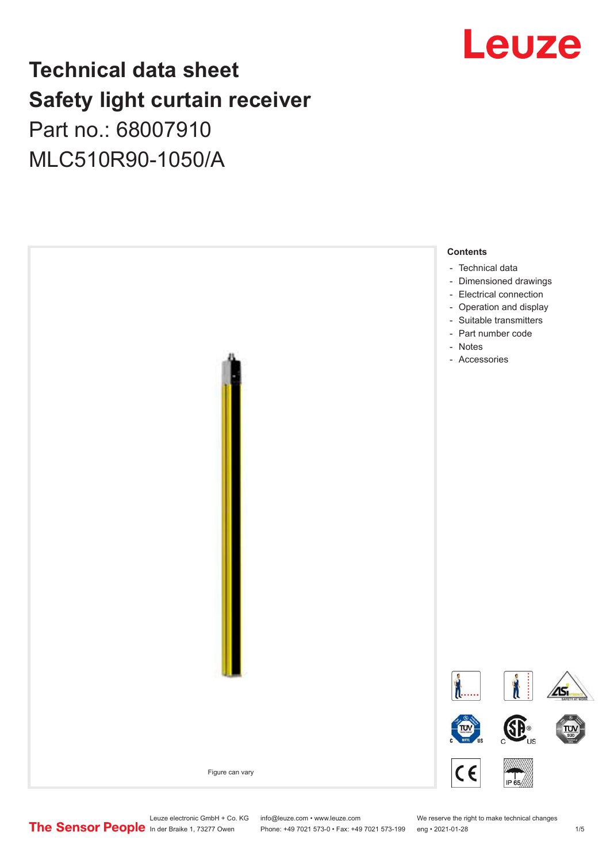# Leuze

# **Technical data sheet Safety light curtain receiver** Part no.: 68007910

MLC510R90-1050/A



Leuze electronic GmbH + Co. KG info@leuze.com • www.leuze.com We reserve the right to make technical changes<br>
The Sensor People in der Braike 1, 73277 Owen Phone: +49 7021 573-0 • Fax: +49 7021 573-199 eng • 2021-01-28

Phone: +49 7021 573-0 • Fax: +49 7021 573-199 eng • 2021-01-28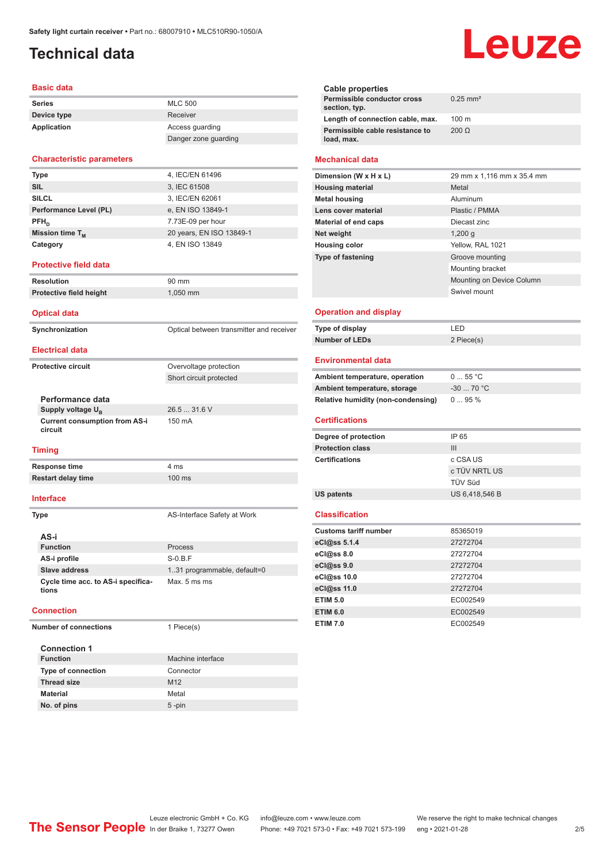# <span id="page-1-0"></span>**Technical data**

#### **Basic data**

| <b>Series</b> | <b>MLC 500</b>       |
|---------------|----------------------|
| Device type   | Receiver             |
| Application   | Access quarding      |
|               | Danger zone guarding |

#### **Characteristic parameters**

| <b>Type</b>            | 4, IEC/EN 61496          |
|------------------------|--------------------------|
| <b>SIL</b>             | 3, IEC 61508             |
| <b>SILCL</b>           | 3, IEC/EN 62061          |
| Performance Level (PL) | e, EN ISO 13849-1        |
| $PFH_n$                | 7.73E-09 per hour        |
| Mission time $T_{M}$   | 20 years, EN ISO 13849-1 |
| Category               | 4, EN ISO 13849          |
|                        |                          |

#### **Protective field data**

| Resolution              | 90 mm      |
|-------------------------|------------|
| Protective field height | $1.050$ mm |
|                         |            |

#### **Optical data**

**Synchronization Synchronization** Optical between transmitter and receiver

#### **Electrical data**

**Protective circuit COVER COVER COVER COVER COVER COVER COVER COVER COVER COVER COVER COVER COVER COVER COVER** 

| Performance data                                |
|-------------------------------------------------|
| Supply voltage U <sub>B</sub>                   |
| <b>Current consumption from AS-i</b><br>circuit |

#### **Timing**

**Response time** 4 ms **Restart delay time** 100 ms

#### **Interface**

**Type** AS-Interface Safety at Work

Short circuit protected

26.5 ... 31.6 V

150 mA

| AS-i                                        |                              |  |
|---------------------------------------------|------------------------------|--|
| <b>Function</b>                             | Process                      |  |
| AS-i profile                                | $S-0.B.F$                    |  |
| Slave address                               | 1.31 programmable, default=0 |  |
| Cycle time acc. to AS-i specifica-<br>tions | Max. 5 ms ms                 |  |

#### **Connection**

**Number of connections** 1 Piece(s)

# **Connection 1**

| Type of connection | Connector       |
|--------------------|-----------------|
| <b>Thread size</b> | M <sub>12</sub> |
| Material           | Metal           |
| No. of pins        | $5 - pin$       |

**Machine interface** 

# Leuze

| Cable properties<br>Permissible conductor cross<br>section, typ. | $0.25$ mm <sup>2</sup>     |
|------------------------------------------------------------------|----------------------------|
| Length of connection cable, max.                                 | $100 \text{ m}$            |
| Permissible cable resistance to<br>load, max.                    | $200 \Omega$               |
| <b>Mechanical data</b>                                           |                            |
| Dimension (W x H x L)                                            | 29 mm x 1,116 mm x 35.4 mm |

#### **Housing material** Metal **Metal housing Aluminum Lens cover material** Plastic / PMMA **Material of end caps** Diecast zinc **Net weight** 1,200 g **Housing color** Yellow, RAL 1021 **Type of fastening** Groove mounting Mounting bracket Mounting on Device Column Swivel mount

#### **Operation and display**

| Type of display       | I FD       |
|-----------------------|------------|
| <b>Number of LEDs</b> | 2 Piece(s) |

#### **Environmental data**

| Ambient temperature, operation     | 055 °C     |
|------------------------------------|------------|
| Ambient temperature, storage       | $-3070 °C$ |
| Relative humidity (non-condensing) | $095\%$    |

#### **Certifications**

| Degree of protection    | IP 65          |
|-------------------------|----------------|
| <b>Protection class</b> | Ш              |
| <b>Certifications</b>   | c CSA US       |
|                         | c TÜV NRTL US  |
|                         | TÜV Süd        |
| US patents              | US 6.418.546 B |

#### **Classification**

| <b>Customs tariff number</b> | 85365019 |
|------------------------------|----------|
| eCl@ss 5.1.4                 | 27272704 |
| eCl@ss 8.0                   | 27272704 |
| $eC$ <sub>l</sub> $@ss$ 9.0  | 27272704 |
| eCl@ss 10.0                  | 27272704 |
| eCl@ss 11.0                  | 27272704 |
| <b>ETIM 5.0</b>              | EC002549 |
| <b>ETIM 6.0</b>              | EC002549 |
| <b>ETIM 7.0</b>              | EC002549 |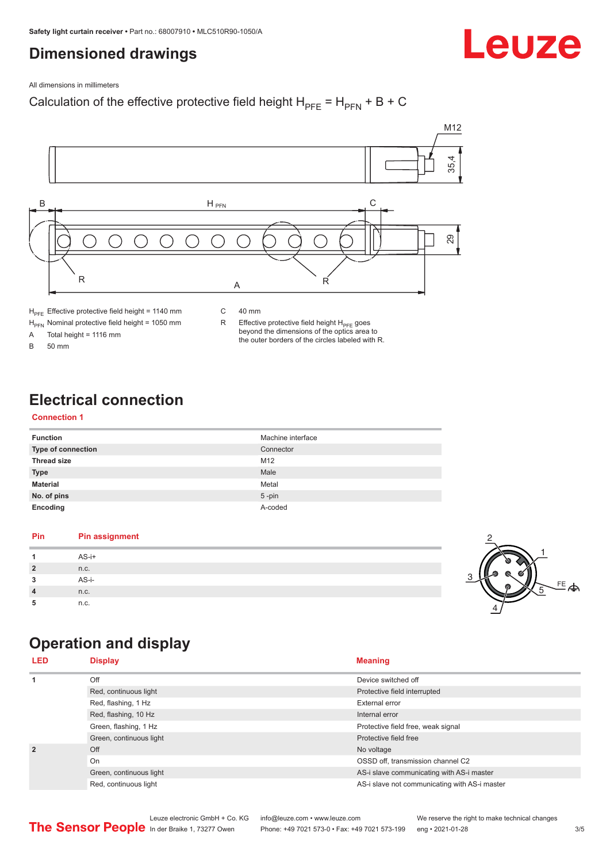# <span id="page-2-0"></span>**Dimensioned drawings**

Leuze

All dimensions in millimeters

### Calculation of the effective protective field height  $H_{PFE} = H_{PFN} + B + C$



 $H<sub>PE</sub>$  Effective protective field height = 1140 mm

 $H_{\text{PFN}}$  Nominal protective field height = 1050 mm<br>A Total height = 1116 mm

Total height =  $1116$  mm

B 50 mm

C 40 mm

R Effective protective field height  $H_{PFE}$  goes beyond the dimensions of the optics area to the outer borders of the circles labeled with R.

# **Electrical connection**

#### **Connection 1**

| <b>Function</b>           | Machine interface |
|---------------------------|-------------------|
| <b>Type of connection</b> | Connector         |
| <b>Thread size</b>        | M <sub>12</sub>   |
| <b>Type</b>               | Male              |
| <b>Material</b>           | Metal             |
| No. of pins               | $5$ -pin          |
| Encoding                  | A-coded           |

#### **Pin Pin assignment 1** AS-i+ **2** n.c. **3** AS-i-**4** n.c. **5** n.c.



# **Operation and display**

| <b>LED</b>     | <b>Display</b>          | <b>Meaning</b>                                |
|----------------|-------------------------|-----------------------------------------------|
| 1              | Off                     | Device switched off                           |
|                | Red, continuous light   | Protective field interrupted                  |
|                | Red, flashing, 1 Hz     | External error                                |
|                | Red, flashing, 10 Hz    | Internal error                                |
|                | Green, flashing, 1 Hz   | Protective field free, weak signal            |
|                | Green, continuous light | Protective field free                         |
| $\overline{2}$ | Off                     | No voltage                                    |
|                | On                      | OSSD off, transmission channel C2             |
|                | Green, continuous light | AS-i slave communicating with AS-i master     |
|                | Red, continuous light   | AS-i slave not communicating with AS-i master |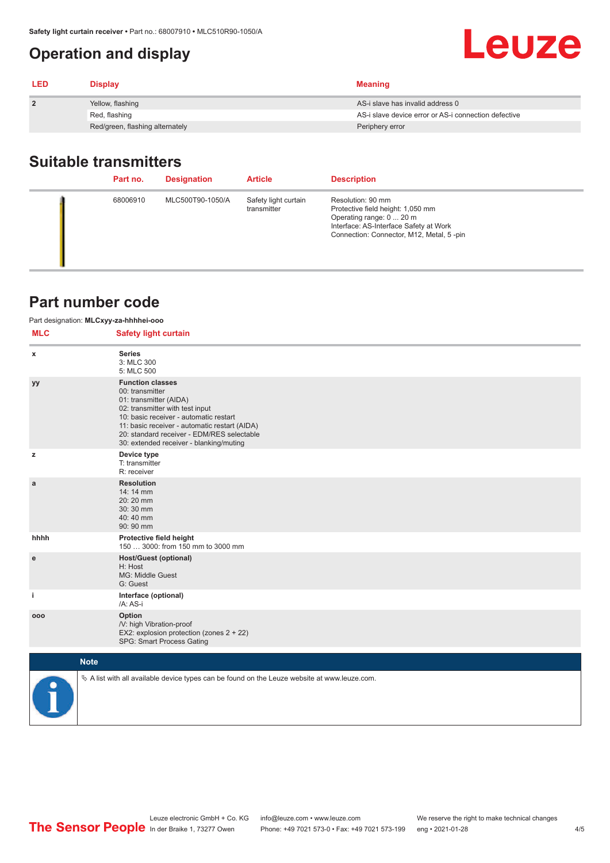# <span id="page-3-0"></span>**Operation and display**

| <b>LED</b>     | <b>Display</b>                  | <b>Meaning</b>                                       |
|----------------|---------------------------------|------------------------------------------------------|
| $\overline{2}$ | Yellow, flashing                | AS-i slave has invalid address 0                     |
|                | Red, flashing                   | AS-i slave device error or AS-i connection defective |
|                | Red/green, flashing alternately | Periphery error                                      |

# **Suitable transmitters**

| Part no. | <b>Designation</b> | <b>Article</b>                      | <b>Description</b>                                                                                                                                                       |
|----------|--------------------|-------------------------------------|--------------------------------------------------------------------------------------------------------------------------------------------------------------------------|
| 68006910 | MLC500T90-1050/A   | Safety light curtain<br>transmitter | Resolution: 90 mm<br>Protective field height: 1,050 mm<br>Operating range: 0  20 m<br>Interface: AS-Interface Safety at Work<br>Connection: Connector, M12, Metal, 5-pin |

### **Part number code**

| Part designation: MLCxyy-za-hhhhei-ooo |                                                                                                                                                                                                                                                                                             |  |  |  |
|----------------------------------------|---------------------------------------------------------------------------------------------------------------------------------------------------------------------------------------------------------------------------------------------------------------------------------------------|--|--|--|
| <b>MLC</b>                             | <b>Safety light curtain</b>                                                                                                                                                                                                                                                                 |  |  |  |
| x                                      | <b>Series</b><br>3: MLC 300<br>5: MLC 500                                                                                                                                                                                                                                                   |  |  |  |
| уу                                     | <b>Function classes</b><br>00: transmitter<br>01: transmitter (AIDA)<br>02: transmitter with test input<br>10: basic receiver - automatic restart<br>11: basic receiver - automatic restart (AIDA)<br>20: standard receiver - EDM/RES selectable<br>30: extended receiver - blanking/muting |  |  |  |
| z                                      | Device type<br>T: transmitter<br>R: receiver                                                                                                                                                                                                                                                |  |  |  |
| a                                      | <b>Resolution</b><br>14:14 mm<br>20:20 mm<br>30:30 mm<br>40:40 mm<br>90: 90 mm                                                                                                                                                                                                              |  |  |  |
| hhhh                                   | Protective field height<br>150  3000: from 150 mm to 3000 mm                                                                                                                                                                                                                                |  |  |  |
| e                                      | <b>Host/Guest (optional)</b><br>H: Host<br>MG: Middle Guest<br>G: Guest                                                                                                                                                                                                                     |  |  |  |
| i.                                     | Interface (optional)<br>/A: AS-i                                                                                                                                                                                                                                                            |  |  |  |
| 000                                    | Option<br>/V: high Vibration-proof<br>EX2: explosion protection (zones 2 + 22)<br>SPG: Smart Process Gating                                                                                                                                                                                 |  |  |  |
|                                        | <b>Note</b>                                                                                                                                                                                                                                                                                 |  |  |  |
|                                        | $\&$ A list with all available device types can be found on the Leuze website at www.leuze.com.                                                                                                                                                                                             |  |  |  |

Leuze